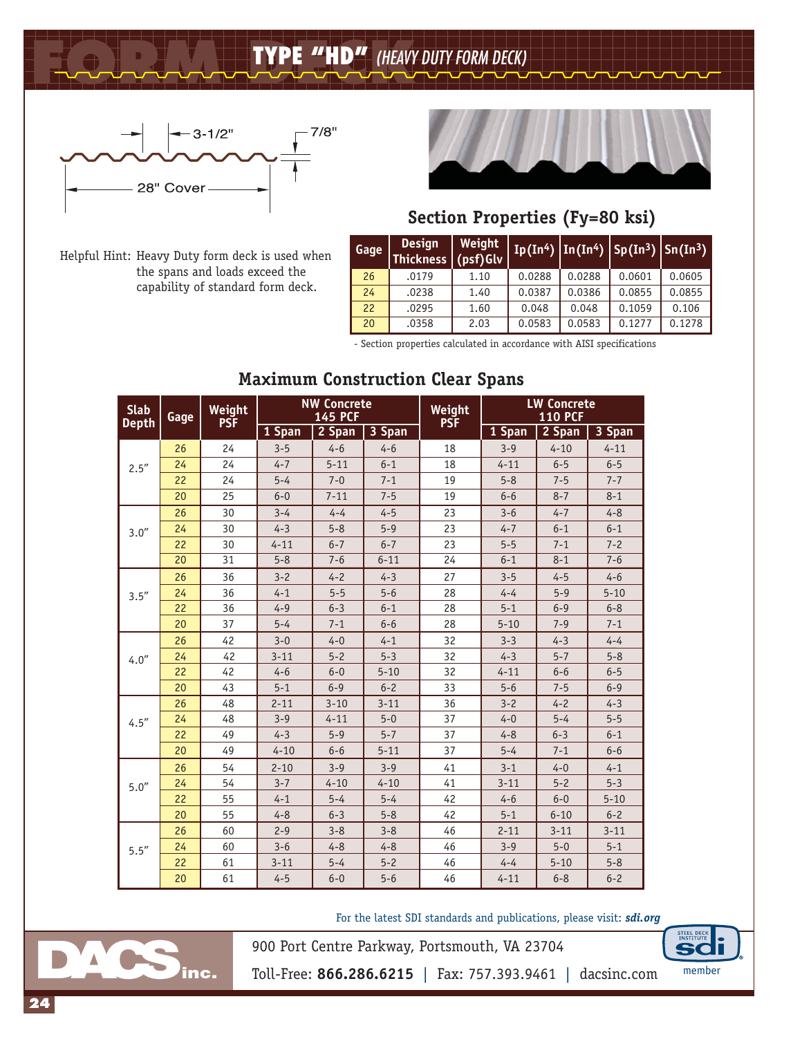**FORM DECK TYPE "HD"** *(HEAVY DUTY FORM DECK)*



Helpful Hint: Heavy Duty form deck is used when

the spans and loads exceed the capability of standard form deck.



## **Section Properties (Fy=80 ksi)**

| Gage | <b>Design</b><br>Thickness (psf)Glv | Weight | $\mid$ Ip(In <sup>4</sup> ) $\mid$ In(In <sup>4</sup> ) $\mid$ Sp(In <sup>3</sup> ) $\mid$ Sn(In <sup>3</sup> ) |        |        |        |
|------|-------------------------------------|--------|-----------------------------------------------------------------------------------------------------------------|--------|--------|--------|
| 26   | .0179                               | 1.10   | 0.0288                                                                                                          | 0.0288 | 0.0601 | 0.0605 |
| 24   | .0238                               | 1.40   | 0.0387                                                                                                          | 0.0386 | 0.0855 | 0.0855 |
| 22   | .0295                               | 1.60   | 0.048                                                                                                           | 0.048  | 0.1059 | 0.106  |
| 20   | .0358                               | 2.03   | 0.0583                                                                                                          | 0.0583 | 0.1277 | 0.1278 |

- Section properties calculated in accordance with AISI specifications

| <b>Slab</b><br><b>Depth</b> | Gage | Weight<br><b>PSF</b> |          | <b>NW Concrete</b><br><b>145 PCF</b> |          | Weight<br><b>PSF</b> | <b>LW Concrete</b><br><b>110 PCF</b> |          |          |  |
|-----------------------------|------|----------------------|----------|--------------------------------------|----------|----------------------|--------------------------------------|----------|----------|--|
|                             |      |                      | 1 Span   | 2 Span                               | 3 Span   |                      | 1 Span                               | 2 Span   | 3 Span   |  |
|                             | 26   | 24                   | $3 - 5$  | $4 - 6$                              | $4 - 6$  | 18                   | $3 - 9$                              | $4 - 10$ | $4 - 11$ |  |
| 2.5''                       | 24   | 24                   | $4 - 7$  | $5 - 11$                             | $6 - 1$  | 18                   | $4 - 11$                             | $6 - 5$  | $6 - 5$  |  |
|                             | 22   | 24                   | $5 - 4$  | $7 - 0$                              | $7 - 1$  | 19                   | $5 - 8$                              | $7 - 5$  | $7 - 7$  |  |
|                             | 20   | 25                   | $6 - 0$  | $7 - 11$                             | $7 - 5$  | 19                   | $6 - 6$                              | $8 - 7$  | $8 - 1$  |  |
|                             | 26   | 30                   | $3 - 4$  | $4 - 4$                              | $4 - 5$  | 23                   | $3 - 6$                              | $4 - 7$  | $4 - 8$  |  |
| 3.0''                       | 24   | 30                   | $4 - 3$  | $5 - 8$                              | $5 - 9$  | 23                   | $4 - 7$                              | $6 - 1$  | $6 - 1$  |  |
|                             | 22   | 30                   | $4 - 11$ | $6 - 7$                              | $6 - 7$  | 23                   | $5 - 5$                              | $7 - 1$  | $7 - 2$  |  |
|                             | 20   | 31                   | $5 - 8$  | $7 - 6$                              | $6 - 11$ | 24                   | $6 - 1$                              | $8 - 1$  | $7 - 6$  |  |
|                             | 26   | 36                   | $3 - 2$  | $4 - 2$                              | $4 - 3$  | 27                   | $3 - 5$                              | $4 - 5$  | $4 - 6$  |  |
| 3.5''                       | 24   | 36                   | $4 - 1$  | $5 - 5$                              | $5 - 6$  | 28                   | $4 - 4$                              | $5 - 9$  | $5 - 10$ |  |
|                             | 22   | 36                   | $4 - 9$  | $6 - 3$                              | $6 - 1$  | 28                   | $5 - 1$                              | $6 - 9$  | $6 - 8$  |  |
|                             | 20   | 37                   | $5 - 4$  | $7 - 1$                              | $6 - 6$  | 28                   | $5 - 10$                             | $7 - 9$  | $7 - 1$  |  |
|                             | 26   | 42                   | $3 - 0$  | $4 - 0$                              | $4 - 1$  | 32                   | $3 - 3$                              | $4 - 3$  | $4 - 4$  |  |
| 4.0''                       | 24   | 42                   | $3 - 11$ | $5 - 2$                              | $5 - 3$  | 32                   | $4 - 3$                              | $5 - 7$  | $5 - 8$  |  |
|                             | 22   | 42                   | $4 - 6$  | $6 - 0$                              | $5 - 10$ | 32                   | $4 - 11$                             | $6 - 6$  | $6 - 5$  |  |
|                             | 20   | 43                   | $5 - 1$  | $6 - 9$                              | $6 - 2$  | 33                   | $5 - 6$                              | $7 - 5$  | $6 - 9$  |  |
|                             | 26   | 48                   | $2 - 11$ | $3 - 10$                             | $3 - 11$ | 36                   | $3 - 2$                              | $4 - 2$  | $4 - 3$  |  |
| 4.5''                       | 24   | 48                   | $3 - 9$  | $4 - 11$                             | $5 - 0$  | 37                   | $4 - 0$                              | $5 - 4$  | $5 - 5$  |  |
|                             | 22   | 49                   | $4 - 3$  | $5 - 9$                              | $5 - 7$  | 37                   | $4 - 8$                              | $6 - 3$  | $6 - 1$  |  |
|                             | 20   | 49                   | $4 - 10$ | $6 - 6$                              | $5 - 11$ | 37                   | $5 - 4$                              | $7 - 1$  | $6 - 6$  |  |
|                             | 26   | 54                   | $2 - 10$ | $3 - 9$                              | $3 - 9$  | 41                   | $3 - 1$                              | $4 - 0$  | $4 - 1$  |  |
| 5.0''                       | 24   | 54                   | $3 - 7$  | $4 - 10$                             | $4 - 10$ | 41                   | $3 - 11$                             | $5 - 2$  | $5 - 3$  |  |
|                             | 22   | 55                   | $4 - 1$  | $5 - 4$                              | $5 - 4$  | 42                   | $4 - 6$                              | $6 - 0$  | $5 - 10$ |  |
|                             | 20   | 55                   | $4 - 8$  | $6 - 3$                              | $5 - 8$  | 42                   | $5 - 1$                              | $6 - 10$ | $6 - 2$  |  |
|                             | 26   | 60                   | $2 - 9$  | $3 - 8$                              | $3 - 8$  | 46                   | $2 - 11$                             | $3 - 11$ | $3 - 11$ |  |
| 5.5''                       | 24   | 60                   | $3 - 6$  | $4 - 8$                              | $4 - 8$  | 46                   | $3 - 9$                              | $5 - 0$  | $5 - 1$  |  |
|                             | 22   | 61                   | $3 - 11$ | $5 - 4$                              | $5 - 2$  | 46                   | $4 - 4$                              | $5 - 10$ | $5 - 8$  |  |
|                             | 20   | 61                   | $4 - 5$  | $6 - 0$                              | $5 - 6$  | 46                   | $4 - 11$                             | $6 - 8$  | $6 - 2$  |  |

## **Maximum Construction Clear Spans**

For the latest SDI standards and publications, please visit: *sdi.org*



Toll-Free: **866.286.6215** | Fax: 757.393.9461 | dacsinc.com member

900 Port Centre Parkway, Portsmouth, VA 23704